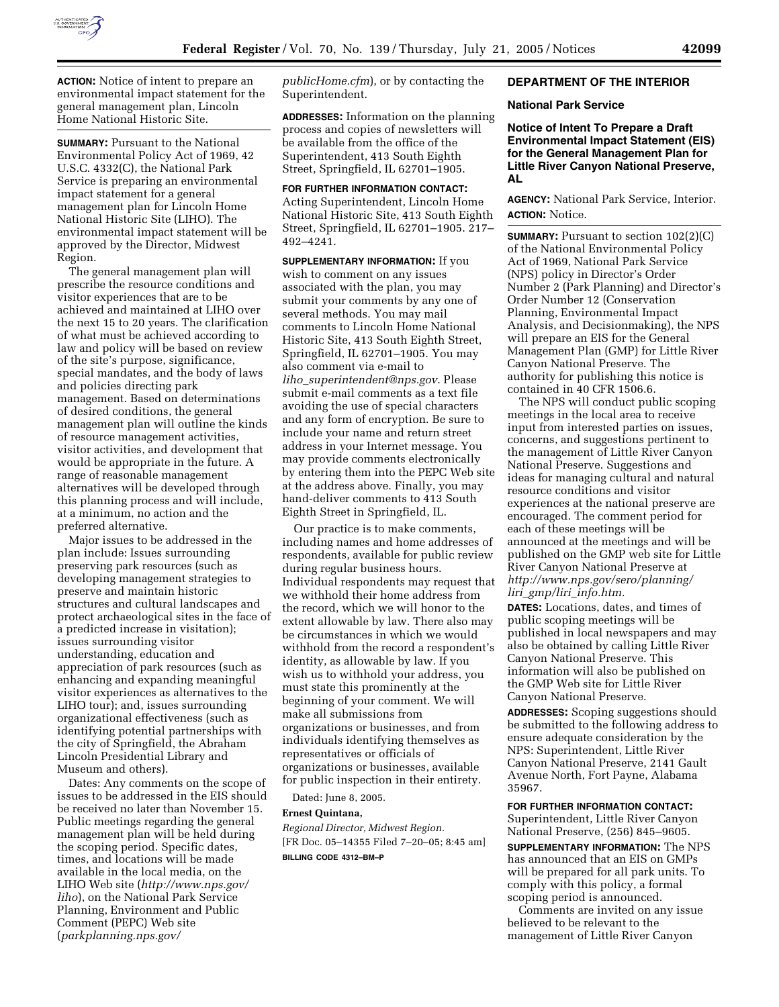

**ACTION:** Notice of intent to prepare an environmental impact statement for the general management plan, Lincoln Home National Historic Site.

**SUMMARY:** Pursuant to the National Environmental Policy Act of 1969, 42 U.S.C. 4332(C), the National Park Service is preparing an environmental impact statement for a general management plan for Lincoln Home National Historic Site (LIHO). The environmental impact statement will be approved by the Director, Midwest Region.

The general management plan will prescribe the resource conditions and visitor experiences that are to be achieved and maintained at LIHO over the next 15 to 20 years. The clarification of what must be achieved according to law and policy will be based on review of the site's purpose, significance, special mandates, and the body of laws and policies directing park management. Based on determinations of desired conditions, the general management plan will outline the kinds of resource management activities, visitor activities, and development that would be appropriate in the future. A range of reasonable management alternatives will be developed through this planning process and will include, at a minimum, no action and the preferred alternative.

Major issues to be addressed in the plan include: Issues surrounding preserving park resources (such as developing management strategies to preserve and maintain historic structures and cultural landscapes and protect archaeological sites in the face of a predicted increase in visitation); issues surrounding visitor understanding, education and appreciation of park resources (such as enhancing and expanding meaningful visitor experiences as alternatives to the LIHO tour); and, issues surrounding organizational effectiveness (such as identifying potential partnerships with the city of Springfield, the Abraham Lincoln Presidential Library and Museum and others).

Dates: Any comments on the scope of issues to be addressed in the EIS should be received no later than November 15. Public meetings regarding the general management plan will be held during the scoping period. Specific dates, times, and locations will be made available in the local media, on the LIHO Web site (*http://www.nps.gov/ liho*), on the National Park Service Planning, Environment and Public Comment (PEPC) Web site (*parkplanning.nps.gov/*

*publicHome.cfm*), or by contacting the Superintendent.

**ADDRESSES:** Information on the planning process and copies of newsletters will be available from the office of the Superintendent, 413 South Eighth Street, Springfield, IL 62701–1905.

**FOR FURTHER INFORMATION CONTACT:** Acting Superintendent, Lincoln Home National Historic Site, 413 South Eighth Street, Springfield, IL 62701–1905. 217– 492–4241.

**SUPPLEMENTARY INFORMATION:** If you wish to comment on any issues associated with the plan, you may submit your comments by any one of several methods. You may mail comments to Lincoln Home National Historic Site, 413 South Eighth Street, Springfield, IL 62701–1905. You may also comment via e-mail to *liho*\_*superintendent@nps.gov*. Please submit e-mail comments as a text file avoiding the use of special characters and any form of encryption. Be sure to include your name and return street address in your Internet message. You may provide comments electronically by entering them into the PEPC Web site at the address above. Finally, you may hand-deliver comments to 413 South Eighth Street in Springfield, IL.

Our practice is to make comments, including names and home addresses of respondents, available for public review during regular business hours. Individual respondents may request that we withhold their home address from the record, which we will honor to the extent allowable by law. There also may be circumstances in which we would withhold from the record a respondent's identity, as allowable by law. If you wish us to withhold your address, you must state this prominently at the beginning of your comment. We will make all submissions from organizations or businesses, and from individuals identifying themselves as representatives or officials of organizations or businesses, available for public inspection in their entirety.

Dated: June 8, 2005.

# **Ernest Quintana,**

*Regional Director, Midwest Region.* [FR Doc. 05–14355 Filed 7–20–05; 8:45 am] **BILLING CODE 4312–BM–P**

# **DEPARTMENT OF THE INTERIOR**

#### **National Park Service**

**Notice of Intent To Prepare a Draft Environmental Impact Statement (EIS) for the General Management Plan for Little River Canyon National Preserve, AL**

**AGENCY:** National Park Service, Interior. **ACTION:** Notice.

**SUMMARY:** Pursuant to section 102(2)(C) of the National Environmental Policy Act of 1969, National Park Service (NPS) policy in Director's Order Number 2 (Park Planning) and Director's Order Number 12 (Conservation Planning, Environmental Impact Analysis, and Decisionmaking), the NPS will prepare an EIS for the General Management Plan (GMP) for Little River Canyon National Preserve. The authority for publishing this notice is contained in 40 CFR 1506.6.

The NPS will conduct public scoping meetings in the local area to receive input from interested parties on issues, concerns, and suggestions pertinent to the management of Little River Canyon National Preserve. Suggestions and ideas for managing cultural and natural resource conditions and visitor experiences at the national preserve are encouraged. The comment period for each of these meetings will be announced at the meetings and will be published on the GMP web site for Little River Canyon National Preserve at *http://www.nps.gov/sero/planning/ liri*\_*gmp/liri*\_*info.htm.*

**DATES:** Locations, dates, and times of public scoping meetings will be published in local newspapers and may also be obtained by calling Little River Canyon National Preserve. This information will also be published on the GMP Web site for Little River Canyon National Preserve.

**ADDRESSES:** Scoping suggestions should be submitted to the following address to ensure adequate consideration by the NPS: Superintendent, Little River Canyon National Preserve, 2141 Gault Avenue North, Fort Payne, Alabama 35967.

# **FOR FURTHER INFORMATION CONTACT:**

Superintendent, Little River Canyon National Preserve, (256) 845–9605.

**SUPPLEMENTARY INFORMATION:** The NPS has announced that an EIS on GMPs will be prepared for all park units. To comply with this policy, a formal scoping period is announced.

Comments are invited on any issue believed to be relevant to the management of Little River Canyon